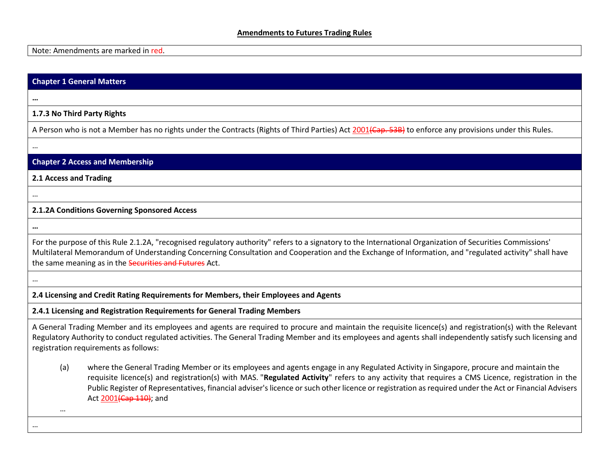#### **Amendments to Futures Trading Rules**

Note: Amendments are marked in red.

#### **Chapter 1 General Matters**

**1.7.3 No Third Party Rights**

A Person who is not a Member has no rights under the Contracts (Rights of Third Parties) Act 2001 (Cap. 53B) to enforce any provisions under this Rules.

…

**…**

#### **Chapter 2 Access and Membership**

**2.1 Access and Trading**

## **2.1.2A Conditions Governing Sponsored Access**

**…**

…

For the purpose of this Rule 2.1.2A, "recognised regulatory authority" refers to a signatory to the International Organization of Securities Commissions' Multilateral Memorandum of Understanding Concerning Consultation and Cooperation and the Exchange of Information, and "regulated activity" shall have the same meaning as in the **Securities and Futures** Act.

…

**2.4 Licensing and Credit Rating Requirements for Members, their Employees and Agents**

**2.4.1 Licensing and Registration Requirements for General Trading Members**

A General Trading Member and its employees and agents are required to procure and maintain the requisite licence(s) and registration(s) with the Relevant Regulatory Authority to conduct regulated activities. The General Trading Member and its employees and agents shall independently satisfy such licensing and registration requirements as follows:

(a) where the General Trading Member or its employees and agents engage in any Regulated Activity in Singapore, procure and maintain the requisite licence(s) and registration(s) with MAS. "**Regulated Activity**" refers to any activity that requires a CMS Licence, registration in the Public Register of Representatives, financial adviser's licence or such other licence or registration as required under the Act or Financial Advisers Act 2001 (Cap 110); and

…

…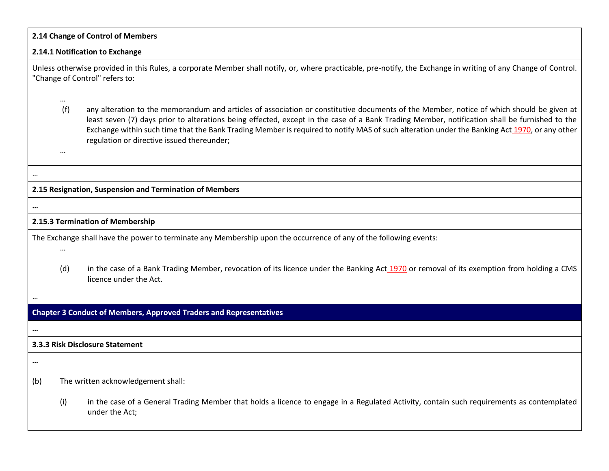| 2.14 Change of Control of Members                                                                                                                                                                                                                                                                                                                                                                                                                                                                                      |  |  |
|------------------------------------------------------------------------------------------------------------------------------------------------------------------------------------------------------------------------------------------------------------------------------------------------------------------------------------------------------------------------------------------------------------------------------------------------------------------------------------------------------------------------|--|--|
| 2.14.1 Notification to Exchange                                                                                                                                                                                                                                                                                                                                                                                                                                                                                        |  |  |
| Unless otherwise provided in this Rules, a corporate Member shall notify, or, where practicable, pre-notify, the Exchange in writing of any Change of Control.<br>"Change of Control" refers to:                                                                                                                                                                                                                                                                                                                       |  |  |
| $\cdots$<br>(f)<br>any alteration to the memorandum and articles of association or constitutive documents of the Member, notice of which should be given at<br>least seven (7) days prior to alterations being effected, except in the case of a Bank Trading Member, notification shall be furnished to the<br>Exchange within such time that the Bank Trading Member is required to notify MAS of such alteration under the Banking Act 1970, or any other<br>regulation or directive issued thereunder;<br>$\cdots$ |  |  |
|                                                                                                                                                                                                                                                                                                                                                                                                                                                                                                                        |  |  |
| 2.15 Resignation, Suspension and Termination of Members                                                                                                                                                                                                                                                                                                                                                                                                                                                                |  |  |
| $\cdots$                                                                                                                                                                                                                                                                                                                                                                                                                                                                                                               |  |  |
| 2.15.3 Termination of Membership                                                                                                                                                                                                                                                                                                                                                                                                                                                                                       |  |  |
| The Exchange shall have the power to terminate any Membership upon the occurrence of any of the following events:                                                                                                                                                                                                                                                                                                                                                                                                      |  |  |
| in the case of a Bank Trading Member, revocation of its licence under the Banking Act 1970 or removal of its exemption from holding a CMS<br>(d)<br>licence under the Act.                                                                                                                                                                                                                                                                                                                                             |  |  |
|                                                                                                                                                                                                                                                                                                                                                                                                                                                                                                                        |  |  |
| <b>Chapter 3 Conduct of Members, Approved Traders and Representatives</b>                                                                                                                                                                                                                                                                                                                                                                                                                                              |  |  |
|                                                                                                                                                                                                                                                                                                                                                                                                                                                                                                                        |  |  |
| 3.3.3 Risk Disclosure Statement                                                                                                                                                                                                                                                                                                                                                                                                                                                                                        |  |  |
| $\ddotsc$                                                                                                                                                                                                                                                                                                                                                                                                                                                                                                              |  |  |
| The written acknowledgement shall:<br>(b)                                                                                                                                                                                                                                                                                                                                                                                                                                                                              |  |  |
| in the case of a General Trading Member that holds a licence to engage in a Regulated Activity, contain such requirements as contemplated<br>(i)<br>under the Act;                                                                                                                                                                                                                                                                                                                                                     |  |  |

 $\Box$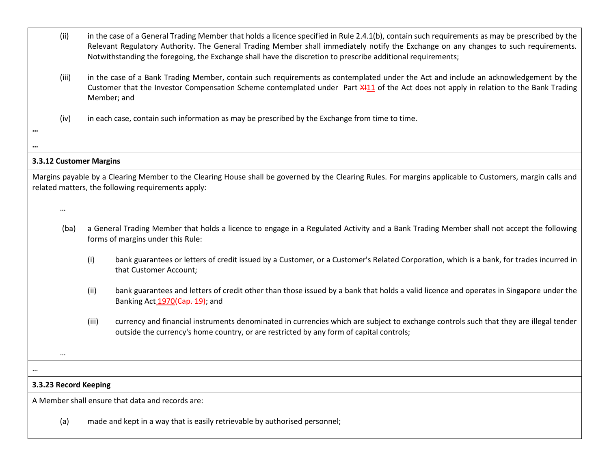- (ii) in the case of a General Trading Member that holds a licence specified in Rule 2.4.1(b), contain such requirements as may be prescribed by the Relevant Regulatory Authority. The General Trading Member shall immediately notify the Exchange on any changes to such requirements. Notwithstanding the foregoing, the Exchange shall have the discretion to prescribe additional requirements;
- (iii) in the case of a Bank Trading Member, contain such requirements as contemplated under the Act and include an acknowledgement by the Customer that the Investor Compensation Scheme contemplated under Part X111 of the Act does not apply in relation to the Bank Trading Member; and
- (iv) in each case, contain such information as may be prescribed by the Exchange from time to time.

### **3.3.12 Customer Margins**

Margins payable by a Clearing Member to the Clearing House shall be governed by the Clearing Rules. For margins applicable to Customers, margin calls and related matters, the following requirements apply:

…

**…**

**…**

- (ba) a General Trading Member that holds a licence to engage in a Regulated Activity and a Bank Trading Member shall not accept the following forms of margins under this Rule:
	- (i) bank guarantees or letters of credit issued by a Customer, or a Customer's Related Corporation, which is a bank, for trades incurred in that Customer Account;
	- (ii) bank guarantees and letters of credit other than those issued by a bank that holds a valid licence and operates in Singapore under the Banking Act 1970(Cap. 19); and
	- (iii) currency and financial instruments denominated in currencies which are subject to exchange controls such that they are illegal tender outside the currency's home country, or are restricted by any form of capital controls;

# **3.3.23 Record Keeping**

…

…

A Member shall ensure that data and records are:

(a) made and kept in a way that is easily retrievable by authorised personnel;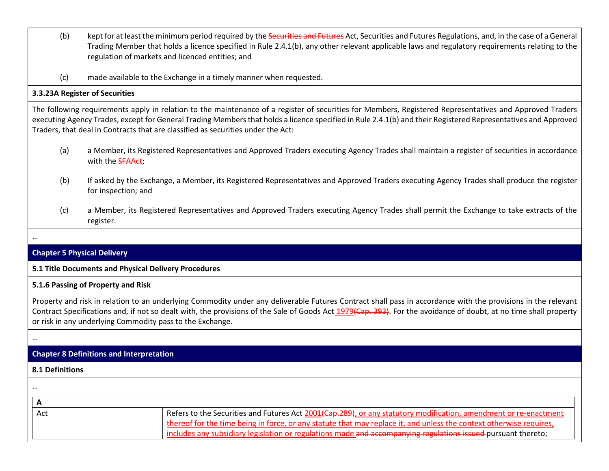- (b) kept for at least the minimum period required by the Securities and Futures Act, Securities and Futures Regulations, and, in the case of a General Trading Member that holds a licence specified in Rule 2.4.1(b), any other relevant applicable laws and regulatory requirements relating to the regulation of markets and licenced entities; and
- (c) made available to the Exchange in a timely manner when requested.

### **3.3.23A Register of Securities**

The following requirements apply in relation to the maintenance of a register of securities for Members, Registered Representatives and Approved Traders executing Agency Trades, except for General Trading Members that holds a licence specified in Rule 2.4.1(b) and their Registered Representatives and Approved Traders, that deal in Contracts that are classified as securities under the Act:

- (a) a Member, its Registered Representatives and Approved Traders executing Agency Trades shall maintain a register of securities in accordance with the **SFAAct**:
- (b) If asked by the Exchange, a Member, its Registered Representatives and Approved Traders executing Agency Trades shall produce the register for inspection; and
- (c) a Member, its Registered Representatives and Approved Traders executing Agency Trades shall permit the Exchange to take extracts of the register.

# **Chapter 5 Physical Delivery**

# **5.1 Title Documents and Physical Delivery Procedures**

# **5.1.6 Passing of Property and Risk**

Property and risk in relation to an underlying Commodity under any deliverable Futures Contract shall pass in accordance with the provisions in the relevant Contract Specifications and, if not so dealt with, the provisions of the Sale of Goods Act 1979(Cap. 393). For the avoidance of doubt, at no time shall property or risk in any underlying Commodity pass to the Exchange.

…

…

# **Chapter 8 Definitions and Interpretation**

### **8.1 Definitions**

| $\cdots$ |                                                                                                                               |
|----------|-------------------------------------------------------------------------------------------------------------------------------|
|          |                                                                                                                               |
| Act      | Refers to the Securities and Futures Act 2001 <del>(Cap.289)</del> , or any statutory modification, amendment or re-enactment |
|          | thereof for the time being in force, or any statute that may replace it, and unless the context otherwise requires,           |
|          | includes any subsidiary legislation or regulations made and accompanying regulations issued-pursuant thereto;                 |